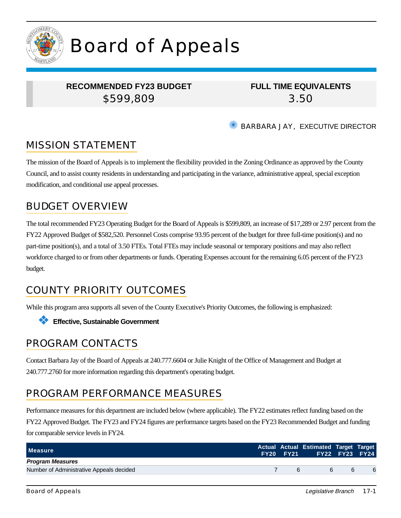

# Board of Appeals

## **RECOMMENDED FY23 BUDGET** \$599,809

**FULL TIME EQUIVALENTS** 3.50

BARBARA JAY, EXECUTIVE DIRECTOR

# MISSION STATEMENT

The mission of the Board of Appeals is to implement the flexibility provided in the Zoning Ordinance as approved by the County Council, and to assist county residents in understanding and participating in the variance, administrative appeal, special exception modification, and conditional use appeal processes.

## BUDGET OVERVIEW

The total recommended FY23 Operating Budget for the Board of Appeals is \$599,809, an increase of \$17,289 or 2.97 percent from the FY22 Approved Budget of \$582,520. Personnel Costs comprise 93.95 percent of the budget for three full-time position(s) and no part-time position(s), and a total of 3.50 FTEs. Total FTEs may include seasonal or temporary positions and may also reflect workforce charged to or from other departments or funds. Operating Expenses account for the remaining 6.05 percent of the FY23 budget.

# COUNTY PRIORITY OUTCOMES

While this program area supports all seven of the County Executive's Priority Outcomes, the following is emphasized:



## PROGRAM CONTACTS

Contact Barbara Jay of the Board of Appeals at 240.777.6604 or Julie Knight of the Office of Management and Budget at 240.777.2760 for more information regarding this department's operating budget.

# PROGRAM PERFORMANCE MEASURES

Performance measures for this department are included below (where applicable). The FY22 estimates reflect funding based on the FY22 Approved Budget. The FY23 and FY24 figures are performance targets based on the FY23 Recommended Budget and funding for comparable service levels in FY24.

| <b>Measure</b>                           |   | Actual Actual Estimated Target Target<br>FY20 FY21 FY22 FY23 FY24 |   |   |
|------------------------------------------|---|-------------------------------------------------------------------|---|---|
| <b>Program Measures</b>                  |   |                                                                   |   |   |
| Number of Administrative Appeals decided | 6 | 6.                                                                | 6 | 6 |
|                                          |   |                                                                   |   |   |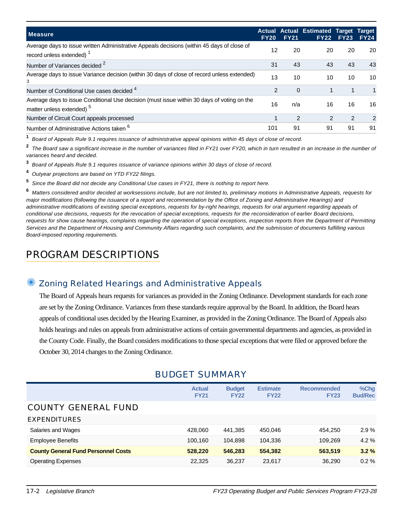| <b>Measure</b>                                                                                                                     | <b>FY20</b>   | <b>FY21</b>   | <b>Actual Actual Estimated Target</b><br><b>FY22</b> | <b>FY23</b> | <b>Target</b><br><b>FY24</b> |
|------------------------------------------------------------------------------------------------------------------------------------|---------------|---------------|------------------------------------------------------|-------------|------------------------------|
| Average days to issue written Administrative Appeals decisions (within 45 days of close of<br>record unless extended)              | 12            | 20            | 20                                                   | 20          | 20                           |
| Number of Variances decided 2                                                                                                      | 31            | 43            | 43                                                   | 43          | 43                           |
| Average days to issue Variance decision (within 30 days of close of record unless extended)<br>3                                   | 13            | 10            | 10                                                   | 10          | 10                           |
| Number of Conditional Use cases decided 4                                                                                          | $\mathcal{P}$ | $\Omega$      |                                                      |             | 1                            |
| Average days to issue Conditional Use decision (must issue within 30 days of voting on the<br>matter unless extended) <sup>5</sup> | 16            | n/a           | 16                                                   | 16          | 16                           |
| Number of Circuit Court appeals processed                                                                                          |               | $\mathcal{P}$ | $\mathcal{P}$                                        | 2           | $\mathcal{P}$                |
| Number of Administrative Actions taken <sup>6</sup>                                                                                | 101           | 91            | 91                                                   | 91          | 91                           |

**1** Board of Appeals Rule 9.1 requires issuance of administrative appeal opinions within 45 days of close of record.

**2** The Board saw a significant increase in the number of variances filed in FY21 over FY20, which in turn resulted in an increase in the number of variances heard and decided.

**3** Board of Appeals Rule 9.1 requires issuance of variance opinions within 30 days of close of record.

- **4** Outyear projections are based on YTD FY22 filings.
- **5** Since the Board did not decide any Conditional Use cases in FY21, there is nothing to report here.

**6** Matters considered and/or decided at worksessions include, but are not limited to, preliminary motions in Administrative Appeals, requests for major modifications (following the issuance of a report and recommendation by the Office of Zoning and Administrative Hearings) and administrative modifications of existing special exceptions, requests for by-right hearings, requests for oral argument regarding appeals of conditional use decisions, requests for the revocation of special exceptions, requests for the reconsideration of earlier Board decisions, requests for show cause hearings, complaints regarding the operation of special exceptions, inspection reports from the Department of Permitting Services and the Department of Housing and Community Affairs regarding such complaints, and the submission of documents fulfilling various Board-imposed reporting requirements.

# PROGRAM DESCRIPTIONS

#### Zoning Related Hearings and Administrative Appeals

The Board of Appeals hears requests for variances as provided in the Zoning Ordinance. Development standards for each zone are set by the Zoning Ordinance. Variances from these standards require approval by the Board. In addition, the Board hears appeals of conditional uses decided by the Hearing Examiner, as provided in the Zoning Ordinance. The Board of Appeals also holds hearings and rules on appeals from administrative actions of certain governmental departments and agencies, as provided in the County Code. Finally, the Board considers modifications to those special exceptions that were filed or approved before the October 30, 2014 changes to the Zoning Ordinance.

|                                            | <b>Actual</b><br><b>FY21</b> | <b>Budget</b><br><b>FY22</b> | <b>Estimate</b><br><b>FY22</b> | <b>Recommended</b><br><b>FY23</b> | %Chq<br><b>Bud/Rec</b> |
|--------------------------------------------|------------------------------|------------------------------|--------------------------------|-----------------------------------|------------------------|
| <b>COUNTY GENERAL FUND</b>                 |                              |                              |                                |                                   |                        |
| <b>EXPENDITURES</b>                        |                              |                              |                                |                                   |                        |
| Salaries and Wages                         | 428.060                      | 441.385                      | 450,046                        | 454.250                           | $2.9\%$                |
| <b>Employee Benefits</b>                   | 100.160                      | 104.898                      | 104,336                        | 109.269                           | $4.2\%$                |
| <b>County General Fund Personnel Costs</b> | 528,220                      | 546,283                      | 554,382                        | 563,519                           | 3.2%                   |
| <b>Operating Expenses</b>                  | 22,325                       | 36,237                       | 23,617                         | 36,290                            | $0.2 \%$               |

#### BUDGET SUMMARY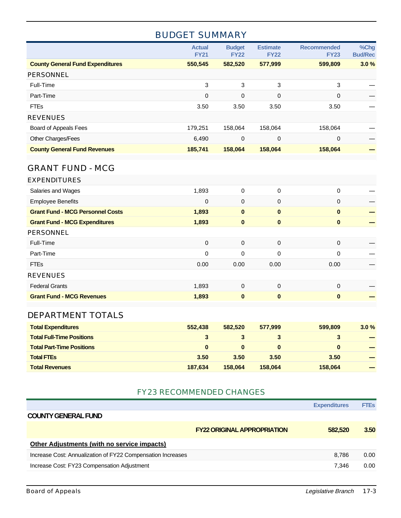### BUDGET SUMMARY

|                                         | <b>Actual</b><br><b>FY21</b> | <b>Budget</b><br><b>FY22</b> | <b>Estimate</b><br><b>FY22</b> | <b>Recommended</b><br><b>FY23</b> | %Chg<br><b>Bud/Rec</b> |
|-----------------------------------------|------------------------------|------------------------------|--------------------------------|-----------------------------------|------------------------|
| <b>County General Fund Expenditures</b> | 550,545                      | 582,520                      | 577,999                        | 599,809                           | 3.0%                   |
| PERSONNEL                               |                              |                              |                                |                                   |                        |
| Full-Time                               | 3                            | 3                            | 3                              | 3                                 |                        |
| Part-Time                               | 0                            | 0                            | $\mathbf 0$                    | 0                                 |                        |
| <b>FTEs</b>                             | 3.50                         | 3.50                         | 3.50                           | 3.50                              |                        |
| <b>REVENUES</b>                         |                              |                              |                                |                                   |                        |
| Board of Appeals Fees                   | 179,251                      | 158,064                      | 158,064                        | 158,064                           |                        |
| Other Charges/Fees                      | 6,490                        | 0                            | $\mathbf 0$                    | 0                                 |                        |
| <b>County General Fund Revenues</b>     | 185,741                      | 158,064                      | 158,064                        | 158,064                           |                        |

#### GRANT FUND - MCG

| 1,893       | 0           | 0        | 0           |  |
|-------------|-------------|----------|-------------|--|
| $\mathbf 0$ | $\mathbf 0$ | 0        | 0           |  |
| 1,893       | $\bf{0}$    | $\bf{0}$ | $\bf{0}$    |  |
| 1,893       | $\bf{0}$    | $\bf{0}$ | $\bf{0}$    |  |
|             |             |          |             |  |
| $\mathbf 0$ | $\mathbf 0$ | 0        | $\mathbf 0$ |  |
| 0           | 0           | 0        | $\Omega$    |  |
| 0.00        | 0.00        | 0.00     | 0.00        |  |
|             |             |          |             |  |
| 1,893       | $\Omega$    | 0        | $\Omega$    |  |
| 1,893       | $\bf{0}$    | $\bf{0}$ | $\bf{0}$    |  |
|             |             |          |             |  |

#### DEPARTMENT TOTALS

| <b>Total Expenditures</b>        | 552,438  | 582.520  | 577.999  | 599.809 | $3.0\%$ |
|----------------------------------|----------|----------|----------|---------|---------|
| <b>Total Full-Time Positions</b> |          |          |          |         | -       |
| <b>Total Part-Time Positions</b> | $\bf{0}$ | $\bf{0}$ | $\bf{0}$ | 0       |         |
| <b>Total FTEs</b>                | 3.50     | 3.50     | 3.50     | 3.50    | -       |
| <b>Total Revenues</b>            | 187.634  | 158.064  | 158.064  | 158.064 | -       |

#### FY23 RECOMMENDED CHANGES

|                                                             |                                    | <b>Expenditures</b> | <b>FTEs</b> |
|-------------------------------------------------------------|------------------------------------|---------------------|-------------|
| <b>COUNTY GENERAL FUND</b>                                  |                                    |                     |             |
|                                                             | <b>FY22 ORIGINAL APPROPRIATION</b> | 582.520             | 3.50        |
| <b>Other Adjustments (with no service impacts)</b>          |                                    |                     |             |
| Increase Cost: Annualization of FY22 Compensation Increases |                                    | 8.786               | 0.00        |
| Increase Cost: FY23 Compensation Adjustment                 |                                    | 7.346               | 0.00        |